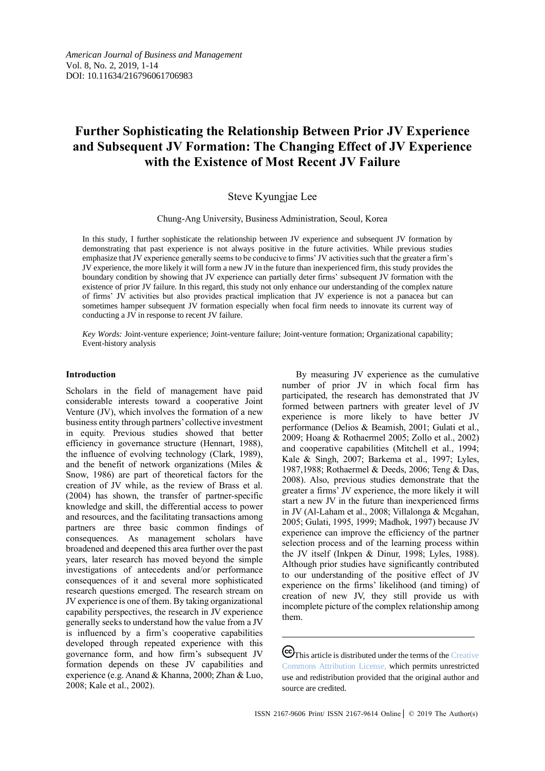# **Further Sophisticating the Relationship Between Prior JV Experience and Subsequent JV Formation: The Changing Effect of JV Experience with the Existence of Most Recent JV Failure**

## Steve Kyungjae Lee

Chung-Ang University, Business Administration, Seoul, Korea

In this study, I further sophisticate the relationship between JV experience and subsequent JV formation by demonstrating that past experience is not always positive in the future activities. While previous studies emphasize that JV experience generally seems to be conducive to firms' JV activities such that the greater a firm's JV experience, the more likely it will form a new JV in the future than inexperienced firm, this study provides the boundary condition by showing that JV experience can partially deter firms' subsequent JV formation with the existence of prior JV failure. In this regard, this study not only enhance our understanding of the complex nature of firms' JV activities but also provides practical implication that JV experience is not a panacea but can sometimes hamper subsequent JV formation especially when focal firm needs to innovate its current way of conducting a JV in response to recent JV failure.

*Key Words:* Joint-venture experience; Joint-venture failure; Joint-venture formation; Organizational capability; Event-history analysis

#### **Introduction**

Scholars in the field of management have paid considerable interests toward a cooperative Joint Venture (JV), which involves the formation of a new business entity through partners' collective investment in equity. Previous studies showed that better efficiency in governance structure (Hennart, 1988), the influence of evolving technology (Clark, 1989), and the benefit of network organizations (Miles & Snow, 1986) are part of theoretical factors for the creation of JV while, as the review of Brass et al. (2004) has shown, the transfer of partner-specific knowledge and skill, the differential access to power and resources, and the facilitating transactions among partners are three basic common findings of consequences. As management scholars have broadened and deepened this area further over the past years, later research has moved beyond the simple investigations of antecedents and/or performance consequences of it and several more sophisticated research questions emerged. The research stream on JV experience is one of them. By taking organizational capability perspectives, the research in JV experience generally seeks to understand how the value from a JV is influenced by a firm's cooperative capabilities developed through repeated experience with this governance form, and how firm's subsequent JV formation depends on these JV capabilities and experience (e.g. Anand & Khanna, 2000; Zhan & Luo, 2008; Kale et al., 2002).

By measuring JV experience as the cumulative number of prior JV in which focal firm has participated, the research has demonstrated that JV formed between partners with greater level of JV experience is more likely to have better JV performance (Delios & Beamish, 2001; Gulati et al., 2009; Hoang & Rothaermel 2005; Zollo et al., 2002) and cooperative capabilities (Mitchell et al., 1994; Kale & Singh, 2007; Barkema et al., 1997; Lyles, 1987,1988; Rothaermel & Deeds, 2006; Teng & Das, 2008). Also, previous studies demonstrate that the greater a firms' JV experience, the more likely it will start a new JV in the future than inexperienced firms in JV (Al-Laham et al., 2008; Villalonga & Mcgahan, 2005; Gulati, 1995, 1999; Madhok, 1997) because JV experience can improve the efficiency of the partner selection process and of the learning process within the JV itself (Inkpen & Dinur, 1998; Lyles, 1988). Although prior studies have significantly contributed to our understanding of the positive effect of JV experience on the firms' likelihood (and timing) of creation of new JV, they still provide us with incomplete picture of the complex relationship among them.

 $\bigodot$ This article is distributed under the terms of the Creative [Commons Attribution License,](http://creativecommons.org/licenses/by/3.0/) which permits unrestricted use and redistribution provided that the original author and source are credited.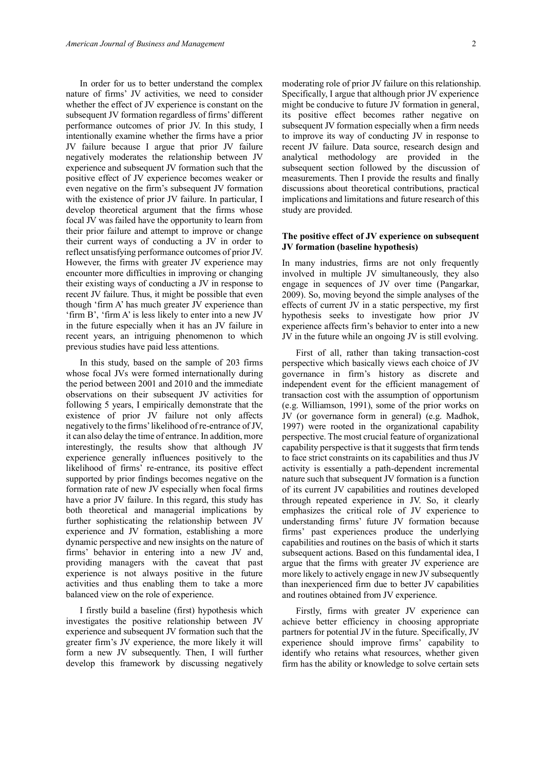In order for us to better understand the complex nature of firms' JV activities, we need to consider whether the effect of JV experience is constant on the subsequent JV formation regardless of firms' different performance outcomes of prior JV. In this study, I intentionally examine whether the firms have a prior JV failure because I argue that prior JV failure negatively moderates the relationship between JV experience and subsequent JV formation such that the positive effect of JV experience becomes weaker or even negative on the firm's subsequent JV formation with the existence of prior JV failure. In particular, I develop theoretical argument that the firms whose focal JV was failed have the opportunity to learn from their prior failure and attempt to improve or change their current ways of conducting a JV in order to reflect unsatisfying performance outcomes of prior JV. However, the firms with greater JV experience may encounter more difficulties in improving or changing their existing ways of conducting a JV in response to recent JV failure. Thus, it might be possible that even though 'firm A' has much greater JV experience than 'firm B', 'firm A' is less likely to enter into a new JV in the future especially when it has an JV failure in recent years, an intriguing phenomenon to which previous studies have paid less attentions.

In this study, based on the sample of 203 firms whose focal JVs were formed internationally during the period between 2001 and 2010 and the immediate observations on their subsequent JV activities for following 5 years, I empirically demonstrate that the existence of prior JV failure not only affects negatively to the firms' likelihood of re-entrance of JV, it can also delay the time of entrance. In addition, more interestingly, the results show that although JV experience generally influences positively to the likelihood of firms' re-entrance, its positive effect supported by prior findings becomes negative on the formation rate of new JV especially when focal firms have a prior JV failure. In this regard, this study has both theoretical and managerial implications by further sophisticating the relationship between JV experience and JV formation, establishing a more dynamic perspective and new insights on the nature of firms' behavior in entering into a new JV and, providing managers with the caveat that past experience is not always positive in the future activities and thus enabling them to take a more balanced view on the role of experience.

I firstly build a baseline (first) hypothesis which investigates the positive relationship between JV experience and subsequent JV formation such that the greater firm's JV experience, the more likely it will form a new JV subsequently. Then, I will further develop this framework by discussing negatively moderating role of prior JV failure on this relationship. Specifically, I argue that although prior JV experience might be conducive to future JV formation in general, its positive effect becomes rather negative on subsequent JV formation especially when a firm needs to improve its way of conducting JV in response to recent JV failure. Data source, research design and analytical methodology are provided in the subsequent section followed by the discussion of measurements. Then I provide the results and finally discussions about theoretical contributions, practical implications and limitations and future research of this study are provided.

## **The positive effect of JV experience on subsequent JV formation (baseline hypothesis)**

In many industries, firms are not only frequently involved in multiple JV simultaneously, they also engage in sequences of JV over time (Pangarkar, 2009). So, moving beyond the simple analyses of the effects of current JV in a static perspective, my first hypothesis seeks to investigate how prior JV experience affects firm's behavior to enter into a new JV in the future while an ongoing JV is still evolving.

First of all, rather than taking transaction-cost perspective which basically views each choice of JV governance in firm's history as discrete and independent event for the efficient management of transaction cost with the assumption of opportunism (e.g. Williamson, 1991), some of the prior works on JV (or governance form in general) (e.g. Madhok, 1997) were rooted in the organizational capability perspective. The most crucial feature of organizational capability perspective is that it suggests that firm tends to face strict constraints on its capabilities and thus JV activity is essentially a path-dependent incremental nature such that subsequent JV formation is a function of its current JV capabilities and routines developed through repeated experience in JV. So, it clearly emphasizes the critical role of JV experience to understanding firms' future JV formation because firms' past experiences produce the underlying capabilities and routines on the basis of which it starts subsequent actions. Based on this fundamental idea, I argue that the firms with greater JV experience are more likely to actively engage in new JV subsequently than inexperienced firm due to better JV capabilities and routines obtained from JV experience.

Firstly, firms with greater JV experience can achieve better efficiency in choosing appropriate partners for potential JV in the future. Specifically, JV experience should improve firms' capability to identify who retains what resources, whether given firm has the ability or knowledge to solve certain sets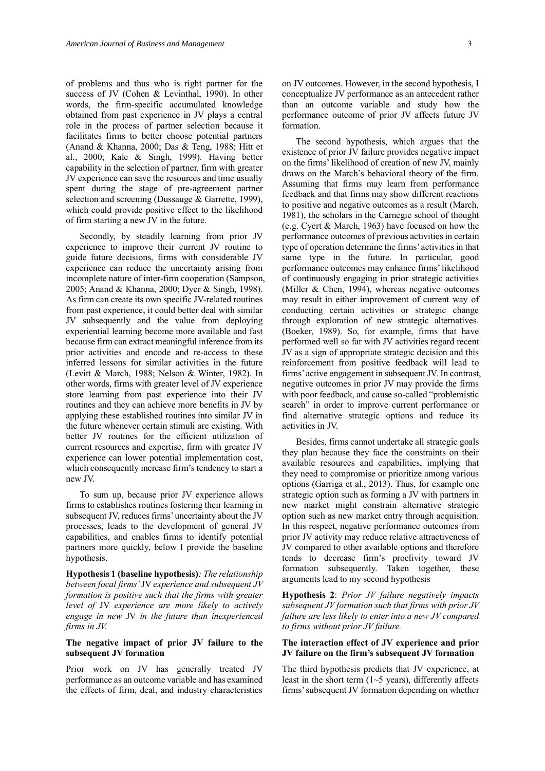of problems and thus who is right partner for the success of JV (Cohen & Levinthal, 1990). In other words, the firm-specific accumulated knowledge obtained from past experience in JV plays a central role in the process of partner selection because it facilitates firms to better choose potential partners (Anand & Khanna, 2000; Das & Teng, 1988; Hitt et al., 2000; Kale & Singh, 1999). Having better capability in the selection of partner, firm with greater JV experience can save the resources and time usually spent during the stage of pre-agreement partner selection and screening (Dussauge & Garrette, 1999), which could provide positive effect to the likelihood of firm starting a new JV in the future.

Secondly, by steadily learning from prior JV experience to improve their current JV routine to guide future decisions, firms with considerable JV experience can reduce the uncertainty arising from incomplete nature of inter-firm cooperation (Sampson, 2005; Anand & Khanna, 2000; Dyer & Singh, 1998). As firm can create its own specific JV-related routines from past experience, it could better deal with similar JV subsequently and the value from deploying experiential learning become more available and fast because firm can extract meaningful inference from its prior activities and encode and re-access to these inferred lessons for similar activities in the future (Levitt & March, 1988; Nelson & Winter, 1982). In other words, firms with greater level of JV experience store learning from past experience into their JV routines and they can achieve more benefits in JV by applying these established routines into similar JV in the future whenever certain stimuli are existing. With better JV routines for the efficient utilization of current resources and expertise, firm with greater JV experience can lower potential implementation cost, which consequently increase firm's tendency to start a new JV.

To sum up, because prior JV experience allows firms to establishes routines fostering their learning in subsequent JV, reduces firms' uncertainty about the JV processes, leads to the development of general JV capabilities, and enables firms to identify potential partners more quickly, below I provide the baseline hypothesis.

**Hypothesis 1 (baseline hypothesis)***: The relationship between focal firms'* JV *experience and subsequent JV formation is positive such that the firms with greater level of* JV *experience are more likely to actively engage in new* JV *in the future than inexperienced firms in JV.*

## **The negative impact of prior JV failure to the subsequent JV formation**

Prior work on JV has generally treated JV performance as an outcome variable and has examined the effects of firm, deal, and industry characteristics on JV outcomes. However, in the second hypothesis, I conceptualize JV performance as an antecedent rather than an outcome variable and study how the performance outcome of prior JV affects future JV formation.

The second hypothesis, which argues that the existence of prior JV failure provides negative impact on the firms' likelihood of creation of new JV, mainly draws on the March's behavioral theory of the firm. Assuming that firms may learn from performance feedback and that firms may show different reactions to positive and negative outcomes as a result (March, 1981), the scholars in the Carnegie school of thought (e.g. Cyert & March, 1963) have focused on how the performance outcomes of previous activities in certain type of operation determine the firms' activities in that same type in the future. In particular, good performance outcomes may enhance firms' likelihood of continuously engaging in prior strategic activities (Miller & Chen, 1994), whereas negative outcomes may result in either improvement of current way of conducting certain activities or strategic change through exploration of new strategic alternatives. (Boeker, 1989). So, for example, firms that have performed well so far with JV activities regard recent JV as a sign of appropriate strategic decision and this reinforcement from positive feedback will lead to firms' active engagement in subsequent JV. In contrast, negative outcomes in prior JV may provide the firms with poor feedback, and cause so-called "problemistic search" in order to improve current performance or find alternative strategic options and reduce its activities in JV.

Besides, firms cannot undertake all strategic goals they plan because they face the constraints on their available resources and capabilities, implying that they need to compromise or prioritize among various options (Garriga et al., 2013). Thus, for example one strategic option such as forming a JV with partners in new market might constrain alternative strategic option such as new market entry through acquisition. In this respect, negative performance outcomes from prior JV activity may reduce relative attractiveness of JV compared to other available options and therefore tends to decrease firm's proclivity toward JV formation subsequently. Taken together, these arguments lead to my second hypothesis

**Hypothesis 2**: *Prior JV failure negatively impacts subsequent JV formation such that firms with prior JV failure are less likely to enter into a new JV compared to firms without prior JV failure.*

## **The interaction effect of JV experience and prior JV failure on the firm's subsequent JV formation**

The third hypothesis predicts that JV experience, at least in the short term  $(1~5$  years), differently affects firms' subsequent JV formation depending on whether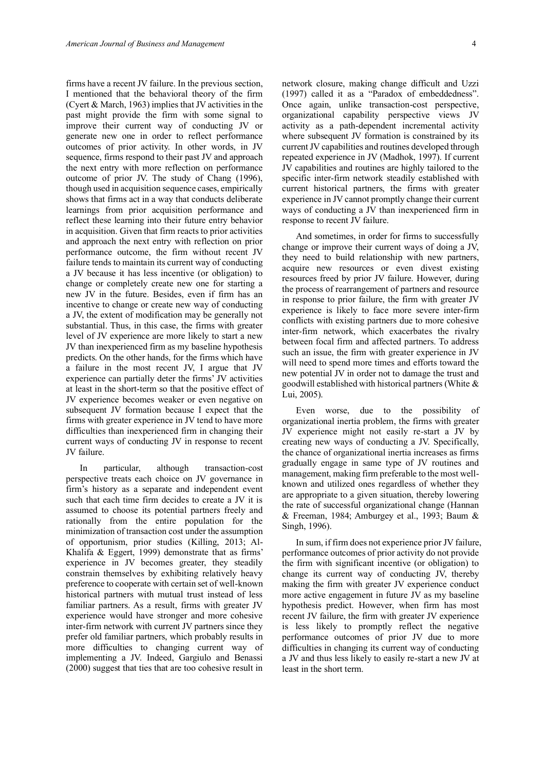firms have a recent JV failure. In the previous section, I mentioned that the behavioral theory of the firm (Cyert & March, 1963) implies that JV activities in the past might provide the firm with some signal to improve their current way of conducting JV or generate new one in order to reflect performance outcomes of prior activity. In other words, in JV sequence, firms respond to their past JV and approach the next entry with more reflection on performance outcome of prior JV. The study of Chang (1996), though used in acquisition sequence cases, empirically shows that firms act in a way that conducts deliberate learnings from prior acquisition performance and reflect these learning into their future entry behavior in acquisition. Given that firm reacts to prior activities and approach the next entry with reflection on prior performance outcome, the firm without recent JV failure tends to maintain its current way of conducting a JV because it has less incentive (or obligation) to change or completely create new one for starting a new JV in the future. Besides, even if firm has an incentive to change or create new way of conducting a JV, the extent of modification may be generally not substantial. Thus, in this case, the firms with greater level of JV experience are more likely to start a new JV than inexperienced firm as my baseline hypothesis predicts. On the other hands, for the firms which have a failure in the most recent JV, I argue that JV experience can partially deter the firms' JV activities at least in the short-term so that the positive effect of JV experience becomes weaker or even negative on subsequent JV formation because I expect that the firms with greater experience in JV tend to have more difficulties than inexperienced firm in changing their current ways of conducting JV in response to recent JV failure.

In particular, although transaction-cost perspective treats each choice on JV governance in firm's history as a separate and independent event such that each time firm decides to create a JV it is assumed to choose its potential partners freely and rationally from the entire population for the minimization of transaction cost under the assumption of opportunism, prior studies (Killing, 2013; Al-Khalifa & Eggert, 1999) demonstrate that as firms' experience in JV becomes greater, they steadily constrain themselves by exhibiting relatively heavy preference to cooperate with certain set of well-known historical partners with mutual trust instead of less familiar partners. As a result, firms with greater JV experience would have stronger and more cohesive inter-firm network with current JV partners since they prefer old familiar partners, which probably results in more difficulties to changing current way of implementing a JV. Indeed, Gargiulo and Benassi (2000) suggest that ties that are too cohesive result in

network closure, making change difficult and Uzzi (1997) called it as a "Paradox of embeddedness". Once again, unlike transaction-cost perspective, organizational capability perspective views JV activity as a path-dependent incremental activity where subsequent JV formation is constrained by its current JV capabilities and routines developed through repeated experience in JV (Madhok, 1997). If current JV capabilities and routines are highly tailored to the specific inter-firm network steadily established with current historical partners, the firms with greater experience in JV cannot promptly change their current ways of conducting a JV than inexperienced firm in response to recent JV failure.

And sometimes, in order for firms to successfully change or improve their current ways of doing a JV, they need to build relationship with new partners, acquire new resources or even divest existing resources freed by prior JV failure. However, during the process of rearrangement of partners and resource in response to prior failure, the firm with greater JV experience is likely to face more severe inter-firm conflicts with existing partners due to more cohesive inter-firm network, which exacerbates the rivalry between focal firm and affected partners. To address such an issue, the firm with greater experience in JV will need to spend more times and efforts toward the new potential JV in order not to damage the trust and goodwill established with historical partners (White & Lui, 2005).

Even worse, due to the possibility of organizational inertia problem, the firms with greater JV experience might not easily re-start a JV by creating new ways of conducting a JV. Specifically, the chance of organizational inertia increases as firms gradually engage in same type of JV routines and management, making firm preferable to the most wellknown and utilized ones regardless of whether they are appropriate to a given situation, thereby lowering the rate of successful organizational change (Hannan & Freeman, 1984; Amburgey et al., 1993; Baum & Singh, 1996).

In sum, if firm does not experience prior JV failure, performance outcomes of prior activity do not provide the firm with significant incentive (or obligation) to change its current way of conducting JV, thereby making the firm with greater JV experience conduct more active engagement in future JV as my baseline hypothesis predict. However, when firm has most recent JV failure, the firm with greater JV experience is less likely to promptly reflect the negative performance outcomes of prior JV due to more difficulties in changing its current way of conducting a JV and thus less likely to easily re-start a new JV at least in the short term.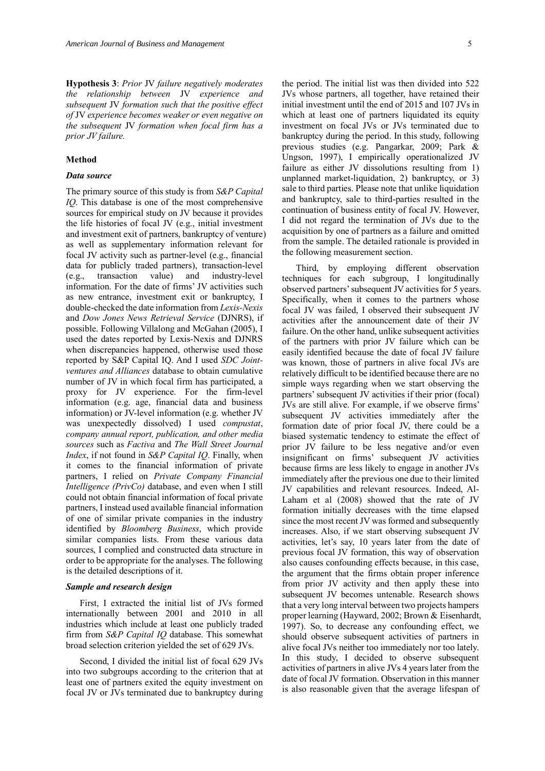**Hypothesis 3**: *Prior* JV *failure negatively moderates the relationship between* JV *experience and subsequent* JV *formation such that the positive effect of* JV *experience becomes weaker or even negative on the subsequent* JV *formation when focal firm has a prior JV failure.*

#### **Method**

#### *Data source*

The primary source of this study is from *S&P Capital IQ*. This database is one of the most comprehensive sources for empirical study on JV because it provides the life histories of focal JV (e.g., initial investment and investment exit of partners, bankruptcy of venture) as well as supplementary information relevant for focal JV activity such as partner-level (e.g., financial data for publicly traded partners), transaction-level (e.g., transaction value) and industry-level information. For the date of firms' JV activities such as new entrance, investment exit or bankruptcy, I double-checked the date information from *Lexis-Nexis* and *Dow Jones News Retrieval Service* (DJNRS), if possible. Following Villalong and McGahan (2005), I used the dates reported by Lexis-Nexis and DJNRS when discrepancies happened, otherwise used those reported by S&P Capital IQ. And I used *SDC Jointventures and Alliances* database to obtain cumulative number of JV in which focal firm has participated, a proxy for JV experience. For the firm-level information (e.g. age, financial data and business information) or JV-level information (e.g. whether JV was unexpectedly dissolved) I used *compustat*, *company annual report, publication, and other media sources* such as *Factiva* and *The Wall Street Journal Index*, if not found in *S&P Capital IQ*. Finally, when it comes to the financial information of private partners, I relied on *Private Company Financial Intelligence (PrivCo)* database, and even when I still could not obtain financial information of focal private partners, I instead used available financial information of one of similar private companies in the industry identified by *Bloomberg Business*, which provide similar companies lists. From these various data sources, I complied and constructed data structure in order to be appropriate for the analyses. The following is the detailed descriptions of it.

#### *Sample and research design*

First, I extracted the initial list of JVs formed internationally between 2001 and 2010 in all industries which include at least one publicly traded firm from *S&P Capital IQ* database. This somewhat broad selection criterion yielded the set of 629 JVs.

Second, I divided the initial list of focal 629 JVs into two subgroups according to the criterion that at least one of partners exited the equity investment on focal JV or JVs terminated due to bankruptcy during the period. The initial list was then divided into 522 JVs whose partners, all together, have retained their initial investment until the end of 2015 and 107 JVs in which at least one of partners liquidated its equity investment on focal JVs or JVs terminated due to bankruptcy during the period. In this study, following previous studies (e.g. Pangarkar, 2009; Park & Ungson, 1997), I empirically operationalized JV failure as either JV dissolutions resulting from 1) unplanned market-liquidation, 2) bankruptcy, or 3) sale to third parties. Please note that unlike liquidation and bankruptcy, sale to third-parties resulted in the continuation of business entity of focal JV. However, I did not regard the termination of JVs due to the acquisition by one of partners as a failure and omitted from the sample. The detailed rationale is provided in the following measurement section.

Third, by employing different observation techniques for each subgroup, I longitudinally observed partners'subsequent JV activities for 5 years. Specifically, when it comes to the partners whose focal JV was failed, I observed their subsequent JV activities after the announcement date of their JV failure. On the other hand, unlike subsequent activities of the partners with prior JV failure which can be easily identified because the date of focal JV failure was known, those of partners in alive focal JVs are relatively difficult to be identified because there are no simple ways regarding when we start observing the partners' subsequent JV activities if their prior (focal) JVs are still alive. For example, if we observe firms' subsequent JV activities immediately after the formation date of prior focal JV, there could be a biased systematic tendency to estimate the effect of prior JV failure to be less negative and/or even insignificant on firms' subsequent JV activities because firms are less likely to engage in another JVs immediately after the previous one due to their limited JV capabilities and relevant resources. Indeed, Al-Laham et al (2008) showed that the rate of JV formation initially decreases with the time elapsed since the most recent JV was formed and subsequently increases. Also, if we start observing subsequent JV activities, let's say, 10 years later from the date of previous focal JV formation, this way of observation also causes confounding effects because, in this case, the argument that the firms obtain proper inference from prior JV activity and then apply these into subsequent JV becomes untenable. Research shows that a very long interval between two projects hampers proper learning (Hayward, 2002; Brown & Eisenhardt, 1997). So, to decrease any confounding effect, we should observe subsequent activities of partners in alive focal JVs neither too immediately nor too lately. In this study, I decided to observe subsequent activities of partners in alive JVs 4 years later from the date of focal JV formation. Observation in this manner is also reasonable given that the average lifespan of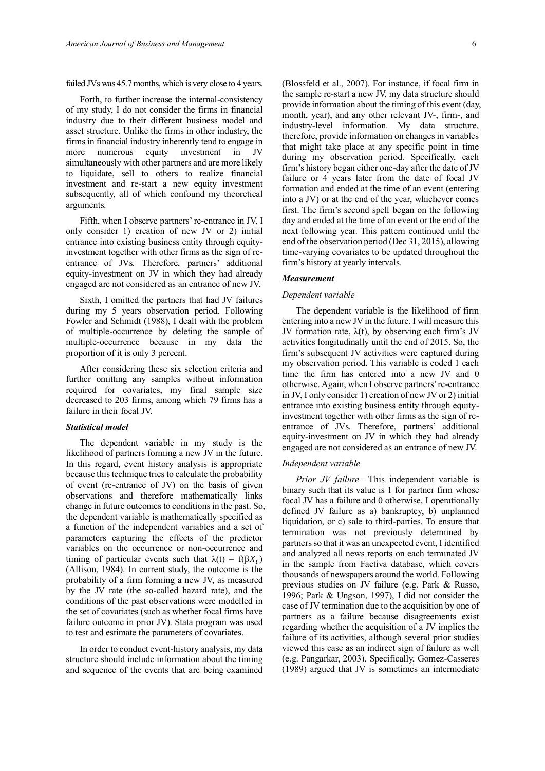failed JVs was 45.7 months, which is very close to 4 years.

Forth, to further increase the internal-consistency of my study, I do not consider the firms in financial industry due to their different business model and asset structure. Unlike the firms in other industry, the firms in financial industry inherently tend to engage in more numerous equity investment in JV simultaneously with other partners and are more likely to liquidate, sell to others to realize financial investment and re-start a new equity investment subsequently, all of which confound my theoretical arguments.

Fifth, when I observe partners' re-entrance in JV, I only consider 1) creation of new JV or 2) initial entrance into existing business entity through equityinvestment together with other firms as the sign of reentrance of JVs. Therefore, partners' additional equity-investment on JV in which they had already engaged are not considered as an entrance of new JV.

Sixth, I omitted the partners that had JV failures during my 5 years observation period. Following Fowler and Schmidt (1988), I dealt with the problem of multiple-occurrence by deleting the sample of multiple-occurrence because in my data the proportion of it is only 3 percent.

After considering these six selection criteria and further omitting any samples without information required for covariates, my final sample size decreased to 203 firms, among which 79 firms has a failure in their focal JV.

## *Statistical model*

The dependent variable in my study is the likelihood of partners forming a new JV in the future. In this regard, event history analysis is appropriate because this technique tries to calculate the probability of event (re-entrance of JV) on the basis of given observations and therefore mathematically links change in future outcomes to conditions in the past. So, the dependent variable is mathematically specified as a function of the independent variables and a set of parameters capturing the effects of the predictor variables on the occurrence or non-occurrence and timing of particular events such that  $\lambda(t) = f(\beta X_t)$ (Allison, 1984). In current study, the outcome is the probability of a firm forming a new JV, as measured by the JV rate (the so-called hazard rate), and the conditions of the past observations were modelled in the set of covariates (such as whether focal firms have failure outcome in prior JV). Stata program was used to test and estimate the parameters of covariates.

In order to conduct event-history analysis, my data structure should include information about the timing and sequence of the events that are being examined (Blossfeld et al., 2007). For instance, if focal firm in the sample re-start a new JV, my data structure should provide information about the timing of this event (day, month, year), and any other relevant JV-, firm-, and industry-level information. My data structure, therefore, provide information on changes in variables that might take place at any specific point in time during my observation period. Specifically, each firm's history began either one-day after the date of JV failure or 4 years later from the date of focal JV formation and ended at the time of an event (entering into a JV) or at the end of the year, whichever comes first. The firm's second spell began on the following day and ended at the time of an event or the end of the next following year. This pattern continued until the end of the observation period (Dec 31, 2015), allowing time-varying covariates to be updated throughout the firm's history at yearly intervals.

#### *Measurement*

#### *Dependent variable*

The dependent variable is the likelihood of firm entering into a new JV in the future. I will measure this JV formation rate,  $\lambda(t)$ , by observing each firm's JV activities longitudinally until the end of 2015. So, the firm's subsequent JV activities were captured during my observation period. This variable is coded 1 each time the firm has entered into a new JV and 0 otherwise. Again, when I observe partners' re-entrance in JV, I only consider 1) creation of new JV or 2) initial entrance into existing business entity through equityinvestment together with other firms as the sign of reentrance of JVs. Therefore, partners' additional equity-investment on JV in which they had already engaged are not considered as an entrance of new JV.

## *Independent variable*

*Prior JV failure* –This independent variable is binary such that its value is 1 for partner firm whose focal JV has a failure and 0 otherwise. I operationally defined JV failure as a) bankruptcy, b) unplanned liquidation, or c) sale to third-parties. To ensure that termination was not previously determined by partners so that it was an unexpected event, I identified and analyzed all news reports on each terminated JV in the sample from Factiva database, which covers thousands of newspapers around the world. Following previous studies on JV failure (e.g. Park & Russo, 1996; Park & Ungson, 1997), I did not consider the case of JV termination due to the acquisition by one of partners as a failure because disagreements exist regarding whether the acquisition of a JV implies the failure of its activities, although several prior studies viewed this case as an indirect sign of failure as well (e.g. Pangarkar, 2003). Specifically, Gomez-Casseres (1989) argued that JV is sometimes an intermediate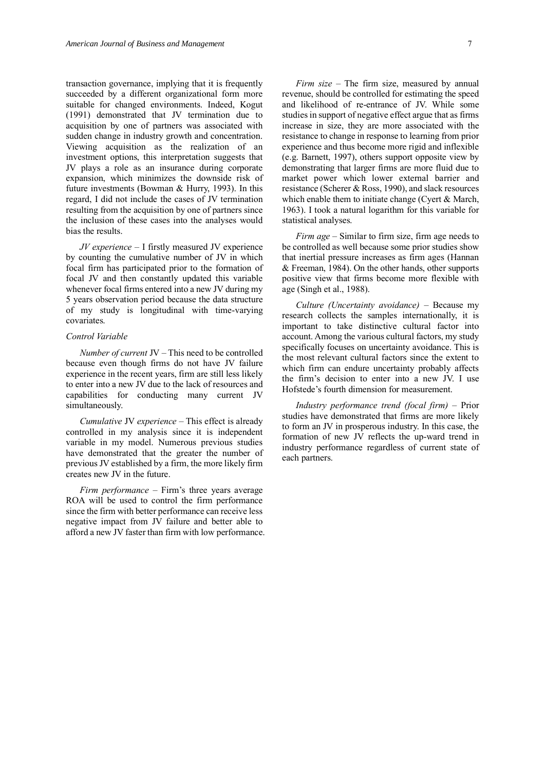transaction governance, implying that it is frequently succeeded by a different organizational form more suitable for changed environments. Indeed, Kogut (1991) demonstrated that JV termination due to acquisition by one of partners was associated with sudden change in industry growth and concentration. Viewing acquisition as the realization of an investment options, this interpretation suggests that JV plays a role as an insurance during corporate expansion, which minimizes the downside risk of future investments (Bowman & Hurry, 1993). In this regard, I did not include the cases of JV termination resulting from the acquisition by one of partners since the inclusion of these cases into the analyses would bias the results.

*JV experience* – I firstly measured JV experience by counting the cumulative number of JV in which focal firm has participated prior to the formation of focal JV and then constantly updated this variable whenever focal firms entered into a new JV during my 5 years observation period because the data structure of my study is longitudinal with time-varying covariates.

## *Control Variable*

*Number of current* JV – This need to be controlled because even though firms do not have JV failure experience in the recent years, firm are still less likely to enter into a new JV due to the lack of resources and capabilities for conducting many current JV simultaneously.

*Cumulative* JV *experience* – This effect is already controlled in my analysis since it is independent variable in my model. Numerous previous studies have demonstrated that the greater the number of previous JV established by a firm, the more likely firm creates new JV in the future.

*Firm performance* – Firm's three years average ROA will be used to control the firm performance since the firm with better performance can receive less negative impact from JV failure and better able to afford a new JV faster than firm with low performance.

*Firm size* – The firm size, measured by annual revenue, should be controlled for estimating the speed and likelihood of re-entrance of JV. While some studies in support of negative effect argue that as firms increase in size, they are more associated with the resistance to change in response to learning from prior experience and thus become more rigid and inflexible (e.g. Barnett, 1997), others support opposite view by demonstrating that larger firms are more fluid due to market power which lower external barrier and resistance (Scherer & Ross, 1990), and slack resources which enable them to initiate change (Cyert & March, 1963). I took a natural logarithm for this variable for statistical analyses.

*Firm age* – Similar to firm size, firm age needs to be controlled as well because some prior studies show that inertial pressure increases as firm ages (Hannan & Freeman, 1984). On the other hands, other supports positive view that firms become more flexible with age (Singh et al., 1988).

*Culture (Uncertainty avoidance)* – Because my research collects the samples internationally, it is important to take distinctive cultural factor into account. Among the various cultural factors, my study specifically focuses on uncertainty avoidance. This is the most relevant cultural factors since the extent to which firm can endure uncertainty probably affects the firm's decision to enter into a new JV. I use Hofstede's fourth dimension for measurement.

*Industry performance trend (focal firm)* – Prior studies have demonstrated that firms are more likely to form an JV in prosperous industry. In this case, the formation of new JV reflects the up-ward trend in industry performance regardless of current state of each partners.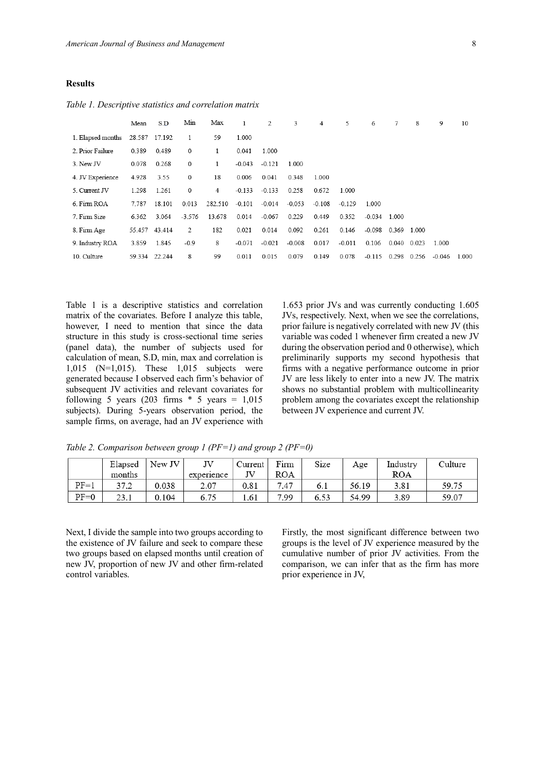## **Results**

|                   | Mean          | S.D           | Min          | Max     | 1        | 2        | 3        | 4        | 5        | 6        | 7     | 8     | 9        | 10    |
|-------------------|---------------|---------------|--------------|---------|----------|----------|----------|----------|----------|----------|-------|-------|----------|-------|
| 1. Elapsed months | 28.587 17.192 |               | 1            | 59      | 1.000    |          |          |          |          |          |       |       |          |       |
| 2. Prior Failure  | 0.389         | 0.489         | $\mathbf{0}$ |         | 0.041    | 1.000    |          |          |          |          |       |       |          |       |
| 3. New JV         | 0.078         | 0.268         | 0            | 1       | $-0.043$ | $-0.121$ | 1.000    |          |          |          |       |       |          |       |
| 4. JV Experience  | 4.928         | 3.55          | 0            | 18      | 0.006    | 0.041    | 0.348    | 1.000    |          |          |       |       |          |       |
| 5. Current JV     | 1.298         | 1.261         | 0            | 4       | $-0.133$ | $-0.133$ | 0.258    | 0.672    | 1.000    |          |       |       |          |       |
| 6. Firm ROA       | 7.787         | 18.101        | 0.013        | 282.510 | $-0.101$ | $-0.014$ | $-0.053$ | $-0.108$ | $-0.129$ | 1.000    |       |       |          |       |
| 7. Firm Size      | 6.362         | 3.064         | $-3.576$     | 13.678  | 0.014    | $-0.067$ | 0.229    | 0.449    | 0.352    | $-0.034$ | 1.000 |       |          |       |
| 8. Firm Age       |               | 55.457 43.414 | 2            | 182     | 0.021    | 0.014    | 0.092    | 0.261    | 0.146    | $-0.098$ | 0.369 | 1.000 |          |       |
| 9. Industry ROA   | 3.859         | 1.845         | $-0.9$       | 8       | $-0.071$ | $-0.021$ | $-0.008$ | 0.017    | $-0.011$ | 0.106    | 0.040 | 0.023 | 1.000    |       |
| 10. Culture       |               | 59.334 22.244 | 8            | 99      | 0.011    | 0.015    | 0.079    | 0.149    | 0.078    | $-0.115$ | 0.298 | 0.256 | $-0.046$ | 1.000 |

*Table 1. Descriptive statistics and correlation matrix*

Table 1 is a descriptive statistics and correlation matrix of the covariates. Before I analyze this table, however, I need to mention that since the data structure in this study is cross-sectional time series (panel data), the number of subjects used for calculation of mean, S.D, min, max and correlation is 1,015 (N=1,015). These 1,015 subjects were generated because I observed each firm's behavior of subsequent JV activities and relevant covariates for following 5 years (203 firms  $*$  5 years = 1,015 subjects). During 5-years observation period, the sample firms, on average, had an JV experience with

1.653 prior JVs and was currently conducting 1.605 JVs, respectively. Next, when we see the correlations, prior failure is negatively correlated with new JV (this variable was coded 1 whenever firm created a new JV during the observation period and 0 otherwise), which preliminarily supports my second hypothesis that firms with a negative performance outcome in prior JV are less likely to enter into a new JV. The matrix shows no substantial problem with multicollinearity problem among the covariates except the relationship between JV experience and current JV.

*Table 2. Comparison between group 1 (PF=1) and group 2 (PF=0)*

|        | Elapsed | New JV | ΙV         | Current | Firm       | Size | Age   | Industry | Culture |
|--------|---------|--------|------------|---------|------------|------|-------|----------|---------|
|        | months  |        | experience |         | <b>ROA</b> |      |       | ROA      |         |
| $PF=1$ | 37.2    | 0.038  | 2.07       | 0.81    | 7.47       | 6.1  | 56.19 | 3.81     | 59.75   |
| $PF=0$ | 23.1    | 0.104  | 6.75       | 1.61    | 7.99       | 6.53 | 54.99 | 3.89     | 59.07   |

Next, I divide the sample into two groups according to the existence of JV failure and seek to compare these two groups based on elapsed months until creation of new JV, proportion of new JV and other firm-related control variables.

Firstly, the most significant difference between two groups is the level of JV experience measured by the cumulative number of prior JV activities. From the comparison, we can infer that as the firm has more prior experience in JV,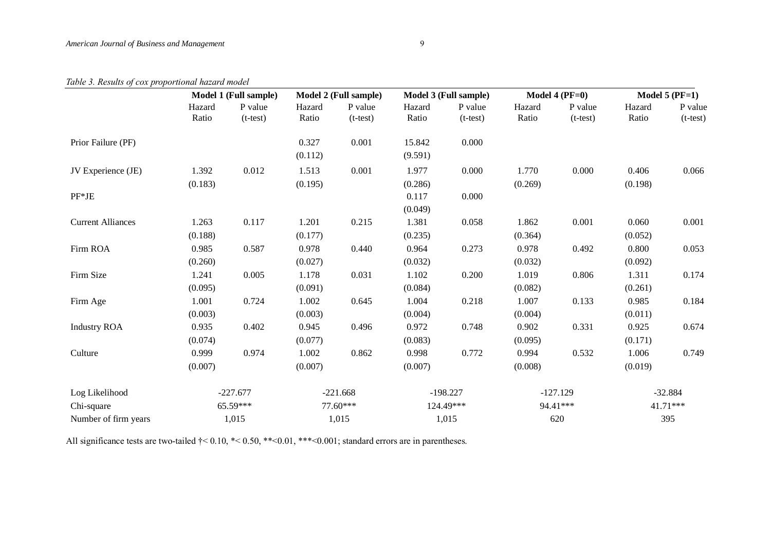# *Table 3. Results of cox proportional hazard model*

|                          | Model 1 (Full sample) |                       | Model 2 (Full sample) |                       |                   | Model 3 (Full sample) |                  | Model 4 ( $PF=0$ )    | Model $5$ (PF=1) |                       |  |
|--------------------------|-----------------------|-----------------------|-----------------------|-----------------------|-------------------|-----------------------|------------------|-----------------------|------------------|-----------------------|--|
|                          | Hazard<br>Ratio       | P value<br>$(t-test)$ | Hazard<br>Ratio       | P value<br>$(t-test)$ | Hazard<br>Ratio   | P value<br>$(t-test)$ | Hazard<br>Ratio  | P value<br>$(t-test)$ | Hazard<br>Ratio  | P value<br>$(t-test)$ |  |
| Prior Failure (PF)       |                       |                       | 0.327<br>(0.112)      | 0.001                 | 15.842<br>(9.591) | 0.000                 |                  |                       |                  |                       |  |
| JV Experience (JE)       | 1.392<br>(0.183)      | 0.012                 | 1.513<br>(0.195)      | 0.001                 | 1.977<br>(0.286)  | 0.000                 | 1.770<br>(0.269) | 0.000                 | 0.406<br>(0.198) | 0.066                 |  |
| $PF*JE$                  |                       |                       |                       |                       | 0.117<br>(0.049)  | 0.000                 |                  |                       |                  |                       |  |
| <b>Current Alliances</b> | 1.263<br>(0.188)      | 0.117                 | 1.201<br>(0.177)      | 0.215                 | 1.381<br>(0.235)  | 0.058                 | 1.862<br>(0.364) | 0.001                 | 0.060<br>(0.052) | 0.001                 |  |
| Firm ROA                 | 0.985<br>(0.260)      | 0.587                 | 0.978<br>(0.027)      | 0.440                 | 0.964<br>(0.032)  | 0.273                 | 0.978<br>(0.032) | 0.492                 | 0.800<br>(0.092) | 0.053                 |  |
| Firm Size                | 1.241<br>(0.095)      | 0.005                 | 1.178<br>(0.091)      | 0.031                 | 1.102<br>(0.084)  | 0.200                 | 1.019<br>(0.082) | 0.806                 | 1.311<br>(0.261) | 0.174                 |  |
| Firm Age                 | 1.001<br>(0.003)      | 0.724                 | 1.002<br>(0.003)      | 0.645                 | 1.004<br>(0.004)  | 0.218                 | 1.007<br>(0.004) | 0.133                 | 0.985<br>(0.011) | 0.184                 |  |
| <b>Industry ROA</b>      | 0.935<br>(0.074)      | 0.402                 | 0.945<br>(0.077)      | 0.496                 | 0.972<br>(0.083)  | 0.748                 | 0.902<br>(0.095) | 0.331                 | 0.925<br>(0.171) | 0.674                 |  |
| Culture                  | 0.999<br>(0.007)      | 0.974                 | 1.002<br>(0.007)      | 0.862                 | 0.998<br>(0.007)  | 0.772                 | 0.994<br>(0.008) | 0.532                 | 1.006<br>(0.019) | 0.749                 |  |
| Log Likelihood           | $-227.677$            |                       | $-221.668$            |                       | $-198.227$        |                       | $-127.129$       |                       | $-32.884$        |                       |  |
| Chi-square               |                       | 65.59***              |                       | 77.60***              |                   | 124.49***             |                  | 94.41***              |                  | 41.71***              |  |
| Number of firm years     |                       | 1,015                 |                       | 1,015                 |                   | 1,015                 |                  | 620                   | 395              |                       |  |

All significance tests are two-tailed  $\dagger$  < 0.10, \*< 0.50, \*\*< 0.01, \*\*\* < 0.001; standard errors are in parentheses.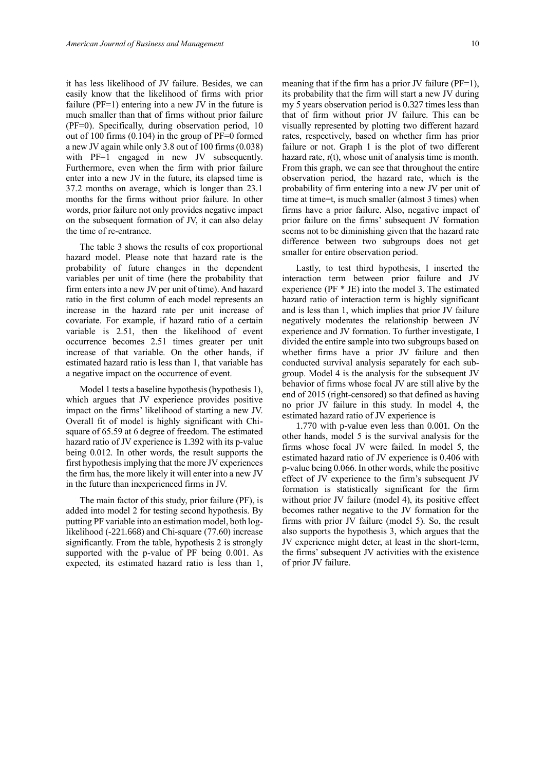it has less likelihood of JV failure. Besides, we can easily know that the likelihood of firms with prior failure ( $PF=1$ ) entering into a new JV in the future is much smaller than that of firms without prior failure (PF=0). Specifically, during observation period, 10 out of 100 firms  $(0.104)$  in the group of PF=0 formed a new JV again while only 3.8 out of 100 firms (0.038) with PF=1 engaged in new JV subsequently. Furthermore, even when the firm with prior failure enter into a new JV in the future, its elapsed time is 37.2 months on average, which is longer than 23.1 months for the firms without prior failure. In other words, prior failure not only provides negative impact on the subsequent formation of JV, it can also delay the time of re-entrance.

The table 3 shows the results of cox proportional hazard model. Please note that hazard rate is the probability of future changes in the dependent variables per unit of time (here the probability that firm enters into a new JV per unit of time). And hazard ratio in the first column of each model represents an increase in the hazard rate per unit increase of covariate. For example, if hazard ratio of a certain variable is 2.51, then the likelihood of event occurrence becomes 2.51 times greater per unit increase of that variable. On the other hands, if estimated hazard ratio is less than 1, that variable has a negative impact on the occurrence of event.

Model 1 tests a baseline hypothesis (hypothesis 1), which argues that JV experience provides positive impact on the firms' likelihood of starting a new JV. Overall fit of model is highly significant with Chisquare of 65.59 at 6 degree of freedom. The estimated hazard ratio of JV experience is 1.392 with its p-value being 0.012. In other words, the result supports the first hypothesisimplying that the more JV experiences the firm has, the more likely it will enter into a new JV in the future than inexperienced firms in JV.

The main factor of this study, prior failure (PF), is added into model 2 for testing second hypothesis. By putting PF variable into an estimation model, both loglikelihood (-221.668) and Chi-square (77.60) increase significantly. From the table, hypothesis 2 is strongly supported with the p-value of PF being 0.001. As expected, its estimated hazard ratio is less than 1, its probability that the firm will start a new JV during my 5 years observation period is 0.327 times less than that of firm without prior JV failure. This can be visually represented by plotting two different hazard rates, respectively, based on whether firm has prior failure or not. Graph 1 is the plot of two different hazard rate,  $r(t)$ , whose unit of analysis time is month. From this graph, we can see that throughout the entire observation period, the hazard rate, which is the probability of firm entering into a new JV per unit of time at time=t, is much smaller (almost 3 times) when firms have a prior failure. Also, negative impact of prior failure on the firms' subsequent JV formation seems not to be diminishing given that the hazard rate difference between two subgroups does not get smaller for entire observation period.

Lastly, to test third hypothesis, I inserted the interaction term between prior failure and JV experience (PF \* JE) into the model 3. The estimated hazard ratio of interaction term is highly significant and is less than 1, which implies that prior JV failure negatively moderates the relationship between JV experience and JV formation. To further investigate, I divided the entire sample into two subgroups based on whether firms have a prior JV failure and then conducted survival analysis separately for each subgroup. Model 4 is the analysis for the subsequent JV behavior of firms whose focal JV are still alive by the end of 2015 (right-censored) so that defined as having no prior JV failure in this study. In model 4, the estimated hazard ratio of JV experience is

1.770 with p-value even less than 0.001. On the other hands, model 5 is the survival analysis for the firms whose focal JV were failed. In model 5, the estimated hazard ratio of JV experience is 0.406 with p-value being 0.066. In other words, while the positive effect of JV experience to the firm's subsequent JV formation is statistically significant for the firm without prior JV failure (model 4), its positive effect becomes rather negative to the JV formation for the firms with prior JV failure (model 5). So, the result also supports the hypothesis 3, which argues that the JV experience might deter, at least in the short-term, the firms' subsequent JV activities with the existence of prior JV failure.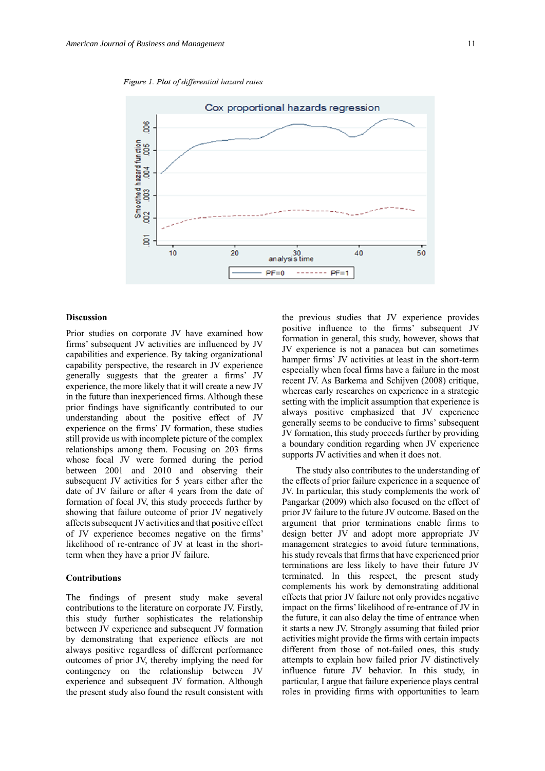Figure 1. Plot of differential hazard rates



#### **Discussion**

Prior studies on corporate JV have examined how firms' subsequent JV activities are influenced by JV capabilities and experience. By taking organizational capability perspective, the research in JV experience generally suggests that the greater a firms' JV experience, the more likely that it will create a new JV in the future than inexperienced firms. Although these prior findings have significantly contributed to our understanding about the positive effect of JV experience on the firms' JV formation, these studies still provide us with incomplete picture of the complex relationships among them. Focusing on 203 firms whose focal JV were formed during the period between 2001 and 2010 and observing their subsequent JV activities for 5 years either after the date of JV failure or after 4 years from the date of formation of focal JV, this study proceeds further by showing that failure outcome of prior JV negatively affects subsequent JV activities and that positive effect of JV experience becomes negative on the firms' likelihood of re-entrance of JV at least in the shortterm when they have a prior JV failure.

#### **Contributions**

The findings of present study make several contributions to the literature on corporate JV. Firstly, this study further sophisticates the relationship between JV experience and subsequent JV formation by demonstrating that experience effects are not always positive regardless of different performance outcomes of prior JV, thereby implying the need for contingency on the relationship between JV experience and subsequent JV formation. Although the present study also found the result consistent with

the previous studies that JV experience provides positive influence to the firms' subsequent JV formation in general, this study, however, shows that JV experience is not a panacea but can sometimes hamper firms' JV activities at least in the short-term especially when focal firms have a failure in the most recent JV. As Barkema and Schijven (2008) critique, whereas early researches on experience in a strategic setting with the implicit assumption that experience is always positive emphasized that JV experience generally seems to be conducive to firms' subsequent JV formation, this study proceeds further by providing a boundary condition regarding when JV experience supports JV activities and when it does not.

The study also contributes to the understanding of the effects of prior failure experience in a sequence of JV. In particular, this study complements the work of Pangarkar (2009) which also focused on the effect of prior JV failure to the future JV outcome. Based on the argument that prior terminations enable firms to design better JV and adopt more appropriate JV management strategies to avoid future terminations, his study reveals that firms that have experienced prior terminations are less likely to have their future JV terminated. In this respect, the present study complements his work by demonstrating additional effects that prior JV failure not only provides negative impact on the firms' likelihood of re-entrance of JV in the future, it can also delay the time of entrance when it starts a new JV. Strongly assuming that failed prior activities might provide the firms with certain impacts different from those of not-failed ones, this study attempts to explain how failed prior JV distinctively influence future JV behavior. In this study, in particular, I argue that failure experience plays central roles in providing firms with opportunities to learn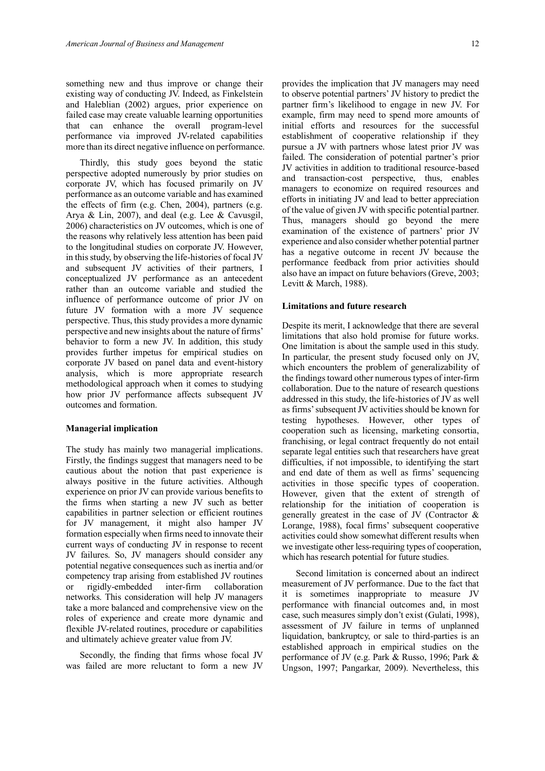something new and thus improve or change their existing way of conducting JV. Indeed, as Finkelstein and Haleblian (2002) argues, prior experience on failed case may create valuable learning opportunities that can enhance the overall program-level performance via improved JV-related capabilities more than its direct negative influence on performance.

Thirdly, this study goes beyond the static perspective adopted numerously by prior studies on corporate JV, which has focused primarily on JV performance as an outcome variable and has examined the effects of firm (e.g. Chen, 2004), partners (e.g. Arya & Lin, 2007), and deal (e.g. Lee & Cavusgil, 2006) characteristics on JV outcomes, which is one of the reasons why relatively less attention has been paid to the longitudinal studies on corporate JV. However, in this study, by observing the life-histories of focal JV and subsequent JV activities of their partners, I conceptualized JV performance as an antecedent rather than an outcome variable and studied the influence of performance outcome of prior JV on future JV formation with a more JV sequence perspective. Thus, this study provides a more dynamic perspective and new insights about the nature of firms' behavior to form a new JV. In addition, this study provides further impetus for empirical studies on corporate JV based on panel data and event-history analysis, which is more appropriate research methodological approach when it comes to studying how prior JV performance affects subsequent JV outcomes and formation.

#### **Managerial implication**

The study has mainly two managerial implications. Firstly, the findings suggest that managers need to be cautious about the notion that past experience is always positive in the future activities. Although experience on prior JV can provide various benefits to the firms when starting a new JV such as better capabilities in partner selection or efficient routines for JV management, it might also hamper JV formation especially when firms need to innovate their current ways of conducting JV in response to recent JV failures. So, JV managers should consider any potential negative consequences such as inertia and/or competency trap arising from established JV routines<br>or rigidly-embedded inter-firm collaboration or rigidly-embedded inter-firm collaboration networks. This consideration will help JV managers take a more balanced and comprehensive view on the roles of experience and create more dynamic and flexible JV-related routines, procedure or capabilities and ultimately achieve greater value from JV.

Secondly, the finding that firms whose focal JV was failed are more reluctant to form a new JV provides the implication that JV managers may need to observe potential partners' JV history to predict the partner firm's likelihood to engage in new JV. For example, firm may need to spend more amounts of initial efforts and resources for the successful establishment of cooperative relationship if they pursue a JV with partners whose latest prior JV was failed. The consideration of potential partner's prior JV activities in addition to traditional resource-based and transaction-cost perspective, thus, enables managers to economize on required resources and efforts in initiating JV and lead to better appreciation of the value of given JV with specific potential partner. Thus, managers should go beyond the mere examination of the existence of partners' prior JV experience and also consider whether potential partner has a negative outcome in recent JV because the performance feedback from prior activities should also have an impact on future behaviors (Greve, 2003; Levitt & March, 1988).

## **Limitations and future research**

Despite its merit, I acknowledge that there are several limitations that also hold promise for future works. One limitation is about the sample used in this study. In particular, the present study focused only on JV, which encounters the problem of generalizability of the findings toward other numerous types of inter-firm collaboration. Due to the nature of research questions addressed in this study, the life-histories of JV as well as firms' subsequent JV activities should be known for testing hypotheses. However, other types of cooperation such as licensing, marketing consortia, franchising, or legal contract frequently do not entail separate legal entities such that researchers have great difficulties, if not impossible, to identifying the start and end date of them as well as firms' sequencing activities in those specific types of cooperation. However, given that the extent of strength of relationship for the initiation of cooperation is generally greatest in the case of JV (Contractor & Lorange, 1988), focal firms' subsequent cooperative activities could show somewhat different results when we investigate other less-requiring types of cooperation, which has research potential for future studies.

Second limitation is concerned about an indirect measurement of JV performance. Due to the fact that it is sometimes inappropriate to measure JV performance with financial outcomes and, in most case, such measures simply don't exist (Gulati, 1998), assessment of JV failure in terms of unplanned liquidation, bankruptcy, or sale to third-parties is an established approach in empirical studies on the performance of JV (e.g. Park & Russo, 1996; Park & Ungson, 1997; Pangarkar, 2009). Nevertheless, this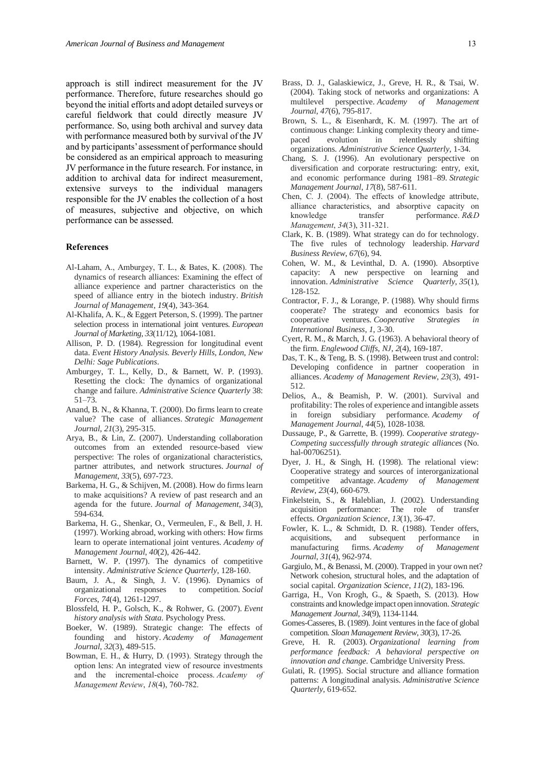approach is still indirect measurement for the JV performance. Therefore, future researches should go beyond the initial efforts and adopt detailed surveys or careful fieldwork that could directly measure JV performance. So, using both archival and survey data with performance measured both by survival of the JV and by participants' assessment of performance should be considered as an empirical approach to measuring JV performance in the future research. For instance, in addition to archival data for indirect measurement, extensive surveys to the individual managers responsible for the JV enables the collection of a host of measures, subjective and objective, on which performance can be assessed.

#### **References**

- Al‐Laham, A., Amburgey, T. L., & Bates, K. (2008). The dynamics of research alliances: Examining the effect of alliance experience and partner characteristics on the speed of alliance entry in the biotech industry. *British Journal of Management*, *19*(4), 343-364.
- Al-Khalifa, A. K., & Eggert Peterson, S. (1999). The partner selection process in international joint ventures. *European Journal of Marketing*, *33*(11/12), 1064-1081.
- Allison, P. D. (1984). Regression for longitudinal event data. *Event History Analysis. Beverly Hills, London, New Delhi: Sage Publications*.
- Amburgey, T. L., Kelly, D., & Barnett, W. P. (1993). Resetting the clock: The dynamics of organizational change and failure. *Administrative Science Quarterly* 38: 51–73.
- Anand, B. N., & Khanna, T. (2000). Do firms learn to create value? The case of alliances. *Strategic Management Journal*, *21*(3), 295-315.
- Arya, B., & Lin, Z. (2007). Understanding collaboration outcomes from an extended resource-based view perspective: The roles of organizational characteristics, partner attributes, and network structures. *Journal of Management*, *33*(5), 697-723.
- Barkema, H. G., & Schijven, M. (2008). How do firms learn to make acquisitions? A review of past research and an agenda for the future. *Journal of Management*, *34*(3), 594-634.
- Barkema, H. G., Shenkar, O., Vermeulen, F., & Bell, J. H. (1997). Working abroad, working with others: How firms learn to operate international joint ventures. *Academy of Management Journal*, *40*(2), 426-442.
- Barnett, W. P. (1997). The dynamics of competitive intensity. *Administrative Science Quarterly*, 128-160.
- Baum, J. A., & Singh, J. V. (1996). Dynamics of organizational responses to competition. *Social Forces*, *74*(4), 1261-1297.
- Blossfeld, H. P., Golsch, K., & Rohwer, G. (2007). *Event history analysis with Stata*. Psychology Press.
- Boeker, W. (1989). Strategic change: The effects of founding and history. *Academy of Management Journal*, *32*(3), 489-515.
- Bowman, E. H., & Hurry, D. (1993). Strategy through the option lens: An integrated view of resource investments and the incremental-choice process. *Academy of Management Review*, *18*(4), 760-782.
- Brass, D. J., Galaskiewicz, J., Greve, H. R., & Tsai, W. (2004). Taking stock of networks and organizations: A multilevel perspective. *Academy of Management Journal*, *47*(6), 795-817.
- Brown, S. L., & Eisenhardt, K. M. (1997). The art of continuous change: Linking complexity theory and timepaced evolution in relentlessly shifting organizations. *Administrative Science Quarterly*, 1-34.
- Chang, S. J. (1996). An evolutionary perspective on diversification and corporate restructuring: entry, exit, and economic performance during 1981–89. *Strategic Management Journal*, *17*(8), 587-611.
- Chen, C. J. (2004). The effects of knowledge attribute, alliance characteristics, and absorptive capacity on knowledge transfer performance. *R&D Management*, *34*(3), 311-321.
- Clark, K. B. (1989). What strategy can do for technology. The five rules of technology leadership. *Harvard Business Review*, *67*(6), 94.
- Cohen, W. M., & Levinthal, D. A. (1990). Absorptive capacity: A new perspective on learning and innovation. *Administrative Science Quarterly*, *35*(1), 128-152.
- Contractor, F. J., & Lorange, P. (1988). Why should firms cooperate? The strategy and economics basis for cooperative ventures. *Cooperative Strategies in International Business*, *1*, 3-30.
- Cyert, R. M., & March, J. G. (1963). A behavioral theory of the firm. *Englewood Cliffs, NJ*, *2*(4), 169-187.
- Das, T. K., & Teng, B. S. (1998). Between trust and control: Developing confidence in partner cooperation in alliances. *Academy of Management Review*, *23*(3), 491- 512.
- Delios, A., & Beamish, P. W. (2001). Survival and profitability: The roles of experience and intangible assets in foreign subsidiary performance. *Academy of Management Journal*, *44*(5), 1028-1038.
- Dussauge, P., & Garrette, B. (1999). *Cooperative strategy-Competing successfully through strategic alliances* (No. hal-00706251).
- Dyer, J. H., & Singh, H. (1998). The relational view: Cooperative strategy and sources of interorganizational competitive advantage. *Academy of Management Review*, *23*(4), 660-679.
- Finkelstein, S., & Haleblian, J. (2002). Understanding acquisition performance: The role of transfer effects. *Organization Science*, *13*(1), 36-47.
- Fowler, K. L., & Schmidt, D. R. (1988). Tender offers, acquisitions, and subsequent performance in manufacturing firms. *Academy of Management Journal*, *31*(4), 962-974.
- Gargiulo, M., & Benassi, M. (2000). Trapped in your own net? Network cohesion, structural holes, and the adaptation of social capital. *Organization Science*, *11*(2), 183-196.
- Garriga, H., Von Krogh, G., & Spaeth, S. (2013). How constraints and knowledge impact open innovation. *Strategic Management Journal*, *34*(9), 1134-1144.
- Gomes-Casseres, B. (1989). Joint ventures in the face of global competition. *Sloan Management Review*, *30*(3), 17-26.
- Greve, H. R. (2003). *Organizational learning from performance feedback: A behavioral perspective on innovation and change*. Cambridge University Press.
- Gulati, R. (1995). Social structure and alliance formation patterns: A longitudinal analysis. *Administrative Science Quarterly*, 619-652.